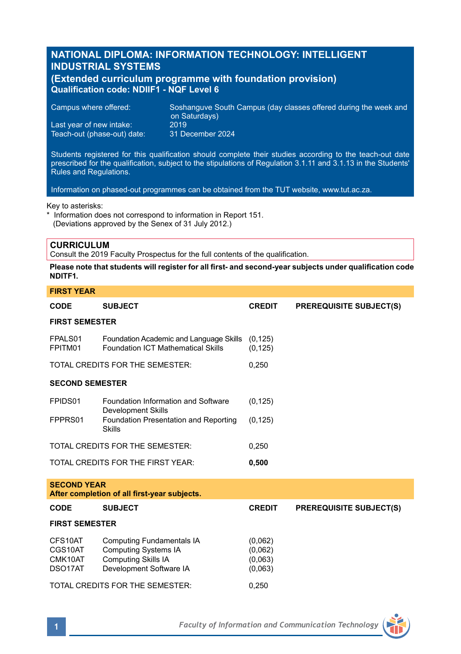# **NATIONAL DIPLOMA: INFORMATION TECHNOLOGY: INTELLIGENT INDUSTRIAL SYSTEMS**

## **(Extended curriculum programme with foundation provision) Qualification code: NDIIF1 - NQF Level 6**

| Campus where offered:       | Soshanguve South Campus (day classes offered during the week and b<br>on Saturdays) |
|-----------------------------|-------------------------------------------------------------------------------------|
| Last year of new intake:    | 2019                                                                                |
| Teach-out (phase-out) date: | 31 December 2024                                                                    |

Students registered for this qualification should complete their studies according to the teach-out date prescribed for the qualification, subject to the stipulations of Regulation 3.1.11 and 3.1.13 in the Students' Rules and Regulations.

Information on phased-out programmes can be obtained from the TUT website, www.tut.ac.za.

### Key to asterisks:

Information does not correspond to information in Report 151. (Deviations approved by the Senex of 31 July 2012.)

## **CURRICULUM**

**FIRST YEAR**

Consult the 2019 Faculty Prospectus for the full contents of the qualification.

## **Please note that students will register for all first- and second-year subjects under qualification code NDITF1.**

| <b>CODE</b>                                                        | <b>SUBJECT</b>                                                                                                           | <b>CREDIT</b>                            | <b>PREREQUISITE SUBJECT(S)</b> |  |  |
|--------------------------------------------------------------------|--------------------------------------------------------------------------------------------------------------------------|------------------------------------------|--------------------------------|--|--|
| <b>FIRST SEMESTER</b>                                              |                                                                                                                          |                                          |                                |  |  |
| FPALS01<br>FPITM01                                                 | Foundation Academic and Language Skills<br><b>Foundation ICT Mathematical Skills</b>                                     | (0, 125)<br>(0, 125)                     |                                |  |  |
| TOTAL CREDITS FOR THE SEMESTER:                                    |                                                                                                                          | 0,250                                    |                                |  |  |
| <b>SECOND SEMESTER</b>                                             |                                                                                                                          |                                          |                                |  |  |
| FPIDS01                                                            | Foundation Information and Software                                                                                      | (0, 125)                                 |                                |  |  |
| FPPRS01                                                            | <b>Development Skills</b><br>Foundation Presentation and Reporting<br><b>Skills</b>                                      | (0, 125)                                 |                                |  |  |
|                                                                    | TOTAL CREDITS FOR THE SEMESTER:                                                                                          | 0.250                                    |                                |  |  |
|                                                                    | TOTAL CREDITS FOR THE FIRST YEAR:                                                                                        | 0,500                                    |                                |  |  |
| <b>SECOND YEAR</b><br>After completion of all first-year subjects. |                                                                                                                          |                                          |                                |  |  |
| CODE                                                               | <b>SUBJECT</b>                                                                                                           | <b>CREDIT</b>                            | <b>PREREQUISITE SUBJECT(S)</b> |  |  |
| <b>FIRST SEMESTER</b>                                              |                                                                                                                          |                                          |                                |  |  |
| CFS10AT<br>CGS10AT<br>CMK10AT<br>DSO <sub>17</sub> AT              | <b>Computing Fundamentals IA</b><br><b>Computing Systems IA</b><br><b>Computing Skills IA</b><br>Development Software IA | (0,062)<br>(0,062)<br>(0,063)<br>(0,063) |                                |  |  |
|                                                                    | TOTAL CREDITS FOR THE SEMESTER:                                                                                          | 0.250                                    |                                |  |  |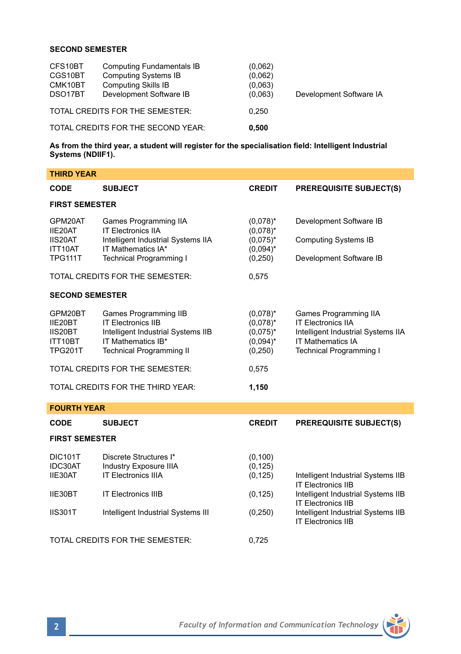## **SECOND SEMESTER**

| CFS10BT<br>CGS10BT<br>CMK10BT<br>DSO17BT | <b>Computing Fundamentals IB</b><br><b>Computing Systems IB</b><br><b>Computing Skills IB</b><br>Development Software IB | (0,062)<br>(0.062)<br>(0,063)<br>(0,063) | Development Software IA |
|------------------------------------------|--------------------------------------------------------------------------------------------------------------------------|------------------------------------------|-------------------------|
|                                          | TOTAL CREDITS FOR THE SEMESTER:                                                                                          | 0.250                                    |                         |
|                                          | TOTAL CREDITS FOR THE SECOND YEAR:                                                                                       | 0.500                                    |                         |

**As from the third year, a student will register for the specialisation field: Intelligent Industrial Systems (NDIIF1).**

| <b>THIRD YEAR</b>                                          |                                                                                                                                                   |                                                                      |                                                                                                                                                        |  |  |  |
|------------------------------------------------------------|---------------------------------------------------------------------------------------------------------------------------------------------------|----------------------------------------------------------------------|--------------------------------------------------------------------------------------------------------------------------------------------------------|--|--|--|
| <b>CODE</b>                                                | <b>SUBJECT</b>                                                                                                                                    | <b>CREDIT</b>                                                        | <b>PREREQUISITE SUBJECT(S)</b>                                                                                                                         |  |  |  |
| <b>FIRST SEMESTER</b>                                      |                                                                                                                                                   |                                                                      |                                                                                                                                                        |  |  |  |
| GPM20AT<br>IIE20AT<br>IIS20AT<br>ITT10AT<br><b>TPG111T</b> | Games Programming IIA<br><b>IT Electronics IIA</b><br>Intelligent Industrial Systems IIA<br>IT Mathematics IA*<br><b>Technical Programming I</b>  | $(0,078)^*$<br>$(0.078)^*$<br>$(0,075)^*$<br>$(0,094)^*$<br>(0, 250) | Development Software IB<br><b>Computing Systems IB</b><br>Development Software IB                                                                      |  |  |  |
|                                                            | TOTAL CREDITS FOR THE SEMESTER:                                                                                                                   | 0,575                                                                |                                                                                                                                                        |  |  |  |
| <b>SECOND SEMESTER</b>                                     |                                                                                                                                                   |                                                                      |                                                                                                                                                        |  |  |  |
| GPM20BT<br>IIE20BT<br>IIS20BT<br>ITT10BT<br><b>TPG201T</b> | Games Programming IIB<br><b>IT Electronics IIB</b><br>Intelligent Industrial Systems IIB<br>IT Mathematics IR*<br><b>Technical Programming II</b> | $(0.078)^*$<br>$(0.078)^*$<br>$(0.075)^*$<br>$(0.094)^*$<br>(0, 250) | Games Programming IIA<br><b>IT Electronics IIA</b><br>Intelligent Industrial Systems IIA<br><b>IT Mathematics IA</b><br><b>Technical Programming I</b> |  |  |  |
| TOTAL CREDITS FOR THE SEMESTER:                            |                                                                                                                                                   | 0,575                                                                |                                                                                                                                                        |  |  |  |
| TOTAL CREDITS FOR THE THIRD YEAR:                          |                                                                                                                                                   | 1,150                                                                |                                                                                                                                                        |  |  |  |
| <b>FOURTH YEAR</b>                                         |                                                                                                                                                   |                                                                      |                                                                                                                                                        |  |  |  |
| <b>CODE</b>                                                | <b>SUBJECT</b>                                                                                                                                    | <b>CREDIT</b>                                                        | <b>PREREQUISITE SUBJECT(S)</b>                                                                                                                         |  |  |  |
| <b>FIRST SEMESTER</b>                                      |                                                                                                                                                   |                                                                      |                                                                                                                                                        |  |  |  |
| <b>DIC101T</b><br>IDC30AT<br>IIE30AT                       | Discrete Structures I*<br><b>Industry Exposure IIIA</b><br><b>IT Electronics IIIA</b>                                                             | (0, 100)<br>(0, 125)<br>(0, 125)                                     | Intelligent Industrial Systems IIB<br><b>IT Electronics IIB</b>                                                                                        |  |  |  |
| IIE30BT                                                    | <b>IT Electronics IIIB</b>                                                                                                                        | (0, 125)                                                             | Intelligent Industrial Systems IIB<br><b>IT Electronics IIB</b>                                                                                        |  |  |  |
| <b>IIS301T</b>                                             | Intelligent Industrial Systems III                                                                                                                | (0, 250)                                                             | Intelligent Industrial Systems IIB<br><b>IT Electronics IIB</b>                                                                                        |  |  |  |
| TOTAL CREDITS FOR THE SEMESTER:                            |                                                                                                                                                   | 0.725                                                                |                                                                                                                                                        |  |  |  |

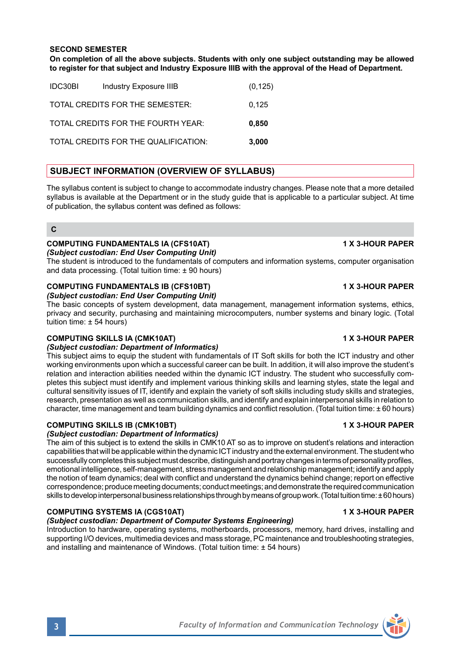### IDC30BI Industry Exposure IIIB (0,125)

**SECOND SEMESTER** 

| TOTAL CREDITS FOR THE SEMESTER:      | 0.125 |
|--------------------------------------|-------|
| TOTAL CREDITS FOR THE FOURTH YEAR:   | 0.850 |
| TOTAL CREDITS FOR THE QUALIFICATION: | 3.000 |

### **SUBJECT INFORMATION (OVERVIEW OF SYLLABUS)**

The syllabus content is subject to change to accommodate industry changes. Please note that a more detailed syllabus is available at the Department or in the study guide that is applicable to a particular subject. At time of publication, the syllabus content was defined as follows:

**On completion of all the above subjects. Students with only one subject outstanding may be allowed to register for that subject and Industry Exposure IIIB with the approval of the Head of Department.**

### **C**

## **COMPUTING FUNDAMENTALS IA (CFS10AT) 1 X 3-HOUR PAPER**

### *(Subject custodian: End User Computing Unit)*

The student is introduced to the fundamentals of computers and information systems, computer organisation and data processing. (Total tuition time: ± 90 hours)

### **COMPUTING FUNDAMENTALS IB (CFS10BT) 1 X 3-HOUR PAPER**

*(Subject custodian: End User Computing Unit)*

The basic concepts of system development, data management, management information systems, ethics, privacy and security, purchasing and maintaining microcomputers, number systems and binary logic. (Total tuition time: ± 54 hours)

### **COMPUTING SKILLS IA (CMK10AT) 1 X 3-HOUR PAPER**

*(Subject custodian: Department of Informatics)*

This subject aims to equip the student with fundamentals of IT Soft skills for both the ICT industry and other working environments upon which a successful career can be built. In addition, it will also improve the student's relation and interaction abilities needed within the dynamic ICT industry. The student who successfully completes this subject must identify and implement various thinking skills and learning styles, state the legal and cultural sensitivity issues of IT, identify and explain the variety of soft skills including study skills and strategies, research, presentation as well as communication skills, and identify and explain interpersonal skills in relation to character, time management and team building dynamics and conflict resolution. (Total tuition time: ± 60 hours)

## **COMPUTING SKILLS IB (CMK10BT) 1 X 3-HOUR PAPER**

## *(Subject custodian: Department of Informatics)*

The aim of this subject is to extend the skills in CMK10 AT so as to improve on student's relations and interaction capabilities that will be applicable within the dynamic ICT industry and the external environment. The student who successfully completes this subject must describe, distinguish and portray changes in terms of personality profiles, emotional intelligence, self-management, stress management and relationship management; identify and apply the notion of team dynamics; deal with conflict and understand the dynamics behind change; report on effective correspondence; produce meeting documents; conduct meetings; and demonstrate the required communication skills to develop interpersonal business relationships through by means of group work. (Total tuition time: ± 60 hours)

## **COMPUTING SYSTEMS IA (CGS10AT) 1 X 3-HOUR PAPER**

### *(Subject custodian: Department of Computer Systems Engineering)*

Introduction to hardware, operating systems, motherboards, processors, memory, hard drives, installing and supporting I/O devices, multimedia devices and mass storage, PC maintenance and troubleshooting strategies, and installing and maintenance of Windows. (Total tuition time: ± 54 hours)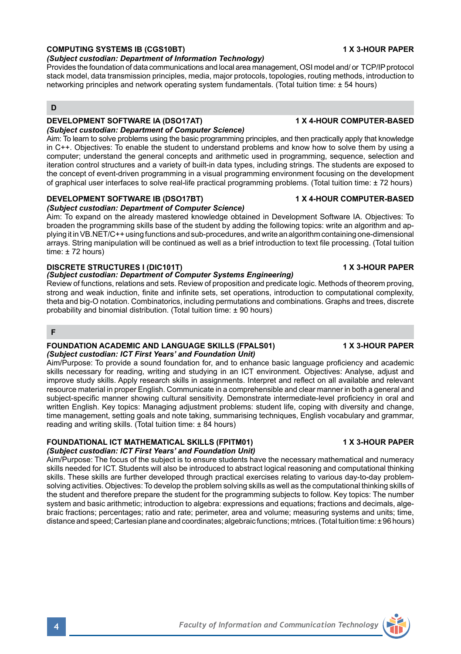### **COMPUTING SYSTEMS IB (CGS10BT) 1 X 3-HOUR PAPER** *(Subject custodian: Department of Information Technology)*

Provides the foundation of data communications and local area management, OSI model and/ or TCP/IP protocol stack model, data transmission principles, media, major protocols, topologies, routing methods, introduction to networking principles and network operating system fundamentals. (Total tuition time: ± 54 hours)

## **D**

## **DEVELOPMENT SOFTWARE IA (DSO17AT) 1 X 4-HOUR COMPUTER-BASED**

*(Subject custodian: Department of Computer Science)* Aim: To learn to solve problems using the basic programming principles, and then practically apply that knowledge in C++. Objectives: To enable the student to understand problems and know how to solve them by using a computer; understand the general concepts and arithmetic used in programming, sequence, selection and iteration control structures and a variety of built-in data types, including strings. The students are exposed to the concept of event-driven programming in a visual programming environment focusing on the development of graphical user interfaces to solve real-life practical programming problems. (Total tuition time: ± 72 hours)

## **DEVELOPMENT SOFTWARE IB (DSO17BT) 1 X 4-HOUR COMPUTER-BASED**

### *(Subject custodian: Department of Computer Science)*

Aim: To expand on the already mastered knowledge obtained in Development Software IA. Objectives: To broaden the programming skills base of the student by adding the following topics: write an algorithm and applying it in VB.NET/C++ using functions and sub-procedures, and write an algorithm containing one-dimensional arrays. String manipulation will be continued as well as a brief introduction to text file processing. (Total tuition time:  $± 72$  hours)

## **DISCRETE STRUCTURES I (DIC101T) 1 X 3-HOUR PAPER**

## *(Subject custodian: Department of Computer Systems Engineering)*

Review of functions, relations and sets. Review of proposition and predicate logic. Methods of theorem proving, strong and weak induction, finite and infinite sets, set operations, introduction to computational complexity, theta and big-O notation. Combinatorics, including permutations and combinations. Graphs and trees, discrete probability and binomial distribution. (Total tuition time: ± 90 hours)

## **F**

### **FOUNDATION ACADEMIC AND LANGUAGE SKILLS (FPALS01) 1 X 3-HOUR PAPER** *(Subject custodian: ICT First Years' and Foundation Unit)*

Aim/Purpose: To provide a sound foundation for, and to enhance basic language proficiency and academic skills necessary for reading, writing and studying in an ICT environment. Objectives: Analyse, adjust and improve study skills. Apply research skills in assignments. Interpret and reflect on all available and relevant resource material in proper English. Communicate in a comprehensible and clear manner in both a general and subject-specific manner showing cultural sensitivity. Demonstrate intermediate-level proficiency in oral and written English. Key topics: Managing adjustment problems: student life, coping with diversity and change, time management, setting goals and note taking, summarising techniques, English vocabulary and grammar, reading and writing skills. (Total tuition time:  $\pm 84$  hours)

## **FOUNDATIONAL ICT MATHEMATICAL SKILLS (FPITM01) 1 X 3-HOUR PAPER**

## *(Subject custodian: ICT First Years' and Foundation Unit)*

Aim/Purpose: The focus of the subject is to ensure students have the necessary mathematical and numeracy skills needed for ICT. Students will also be introduced to abstract logical reasoning and computational thinking skills. These skills are further developed through practical exercises relating to various day-to-day problemsolving activities. Objectives: To develop the problem solving skills as well as the computational thinking skills of the student and therefore prepare the student for the programming subjects to follow. Key topics: The number system and basic arithmetic; introduction to algebra: expressions and equations; fractions and decimals, algebraic fractions; percentages; ratio and rate; perimeter, area and volume; measuring systems and units; time, distance and speed; Cartesian plane and coordinates; algebraic functions; mtrices. (Total tuition time: ± 96 hours)

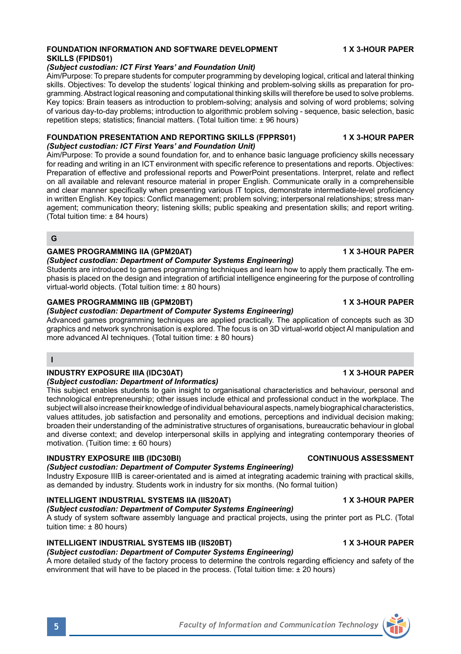### **FOUNDATION INFORMATION AND SOFTWARE DEVELOPMENT 4 X 3-HOUR PAPER SKILLS (FPIDS01)**

### *(Subject custodian: ICT First Years' and Foundation Unit)*

Aim/Purpose: To prepare students for computer programming by developing logical, critical and lateral thinking skills. Objectives: To develop the students' logical thinking and problem-solving skills as preparation for programming. Abstract logical reasoning and computational thinking skills will therefore be used to solve problems. Key topics: Brain teasers as introduction to problem-solving; analysis and solving of word problems; solving of various day-to-day problems; introduction to algorithmic problem solving - sequence, basic selection, basic repetition steps; statistics; financial matters. (Total tuition time: ± 96 hours)

### **FOUNDATION PRESENTATION AND REPORTING SKILLS (FPPRS01) 1 X 3-HOUR PAPER** *(Subject custodian: ICT First Years' and Foundation Unit)*

Aim/Purpose: To provide a sound foundation for, and to enhance basic language proficiency skills necessary for reading and writing in an ICT environment with specific reference to presentations and reports. Objectives: Preparation of effective and professional reports and PowerPoint presentations. Interpret, relate and reflect on all available and relevant resource material in proper English. Communicate orally in a comprehensible and clear manner specifically when presenting various IT topics, demonstrate intermediate-level proficiency in written English. Key topics: Conflict management; problem solving; interpersonal relationships; stress management; communication theory; listening skills; public speaking and presentation skills; and report writing. (Total tuition time: ± 84 hours)

## **G**

## **GAMES PROGRAMMING IIA (GPM20AT) 1 X 3-HOUR PAPER**

## *(Subject custodian: Department of Computer Systems Engineering)*

Students are introduced to games programming techniques and learn how to apply them practically. The emphasis is placed on the design and integration of artificial intelligence engineering for the purpose of controlling virtual-world objects. (Total tuition time: ± 80 hours)

## **GAMES PROGRAMMING IIB (GPM20BT) 1 X 3-HOUR PAPER**

## *(Subject custodian: Department of Computer Systems Engineering)*

Advanced games programming techniques are applied practically. The application of concepts such as 3D graphics and network synchronisation is explored. The focus is on 3D virtual-world object AI manipulation and more advanced AI techniques. (Total tuition time: ± 80 hours)

## **I**

## **INDUSTRY EXPOSURE IIIA (IDC30AT) 1 X 3-HOUR PAPER**

## *(Subject custodian: Department of Informatics)*

This subject enables students to gain insight to organisational characteristics and behaviour, personal and technological entrepreneurship; other issues include ethical and professional conduct in the workplace. The subject will also increase their knowledge of individual behavioural aspects, namely biographical characteristics, values attitudes, job satisfaction and personality and emotions, perceptions and individual decision making; broaden their understanding of the administrative structures of organisations, bureaucratic behaviour in global and diverse context; and develop interpersonal skills in applying and integrating contemporary theories of motivation. (Tuition time: ± 60 hours)

## **INDUSTRY EXPOSURE IIIB (IDC30BI) CONTINUOUS ASSESSMENT**

## *(Subject custodian: Department of Computer Systems Engineering)*

Industry Exposure IIIB is career-orientated and is aimed at integrating academic training with practical skills, as demanded by industry. Students work in industry for six months. (No formal tuition)

## **INTELLIGENT INDUSTRIAL SYSTEMS IIA (IIS20AT) 1 X 3-HOUR PAPER**

*(Subject custodian: Department of Computer Systems Engineering)* A study of system software assembly language and practical projects, using the printer port as PLC. (Total tuition time: ± 80 hours)

# **INTELLIGENT INDUSTRIAL SYSTEMS IIB (IIS20BT) 1 X 3-HOUR PAPER**

*(Subject custodian: Department of Computer Systems Engineering)* A more detailed study of the factory process to determine the controls regarding efficiency and safety of the environment that will have to be placed in the process. (Total tuition time: ± 20 hours)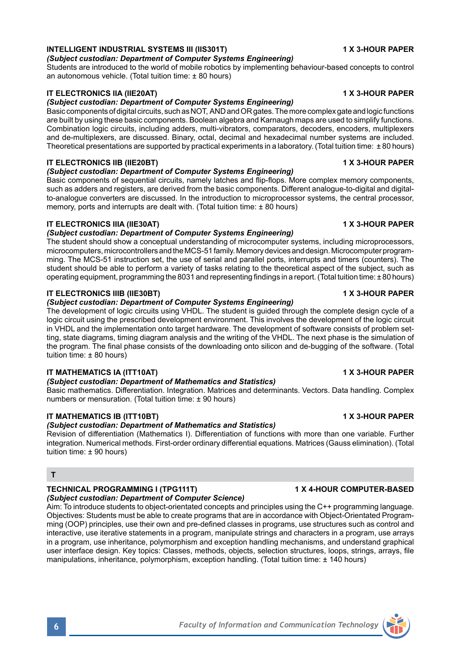## **INTELLIGENT INDUSTRIAL SYSTEMS III (IIS301T) 1 X 3-HOUR PAPER**

# *(Subject custodian: Department of Computer Systems Engineering)*

Students are introduced to the world of mobile robotics by implementing behaviour-based concepts to control an autonomous vehicle. (Total tuition time: ± 80 hours)

# **IT ELECTRONICS IIA (IIE20AT) 1 X 3-HOUR PAPER**

## *(Subject custodian: Department of Computer Systems Engineering)*

Basic components of digital circuits, such as NOT, AND and OR gates. The more complex gate and logic functions are built by using these basic components. Boolean algebra and Karnaugh maps are used to simplify functions. Combination logic circuits, including adders, multi-vibrators, comparators, decoders, encoders, multiplexers and de-multiplexers, are discussed. Binary, octal, decimal and hexadecimal number systems are included. Theoretical presentations are supported by practical experiments in a laboratory. (Total tuition time: ± 80 hours)

# **IT ELECTRONICS IIB (IIE20BT) 1 X 3-HOUR PAPER**

## *(Subject custodian: Department of Computer Systems Engineering)*

Basic components of sequential circuits, namely latches and flip-flops. More complex memory components, such as adders and registers, are derived from the basic components. Different analogue-to-digital and digitalto-analogue converters are discussed. In the introduction to microprocessor systems, the central processor, memory, ports and interrupts are dealt with. (Total tuition time: ± 80 hours)

## **IT ELECTRONICS IIIA (IIE30AT) 1 X 3-HOUR PAPER**

# *(Subject custodian: Department of Computer Systems Engineering)*

The student should show a conceptual understanding of microcomputer systems, including microprocessors, microcomputers, microcontrollers and the MCS-51 family. Memory devices and design. Microcomputer programming. The MCS-51 instruction set, the use of serial and parallel ports, interrupts and timers (counters). The student should be able to perform a variety of tasks relating to the theoretical aspect of the subject, such as operating equipment, programming the 8031 and representing findings in a report. (Total tuition time: ± 80 hours)

# **IT ELECTRONICS IIIB (IIE30BT) 1 X 3-HOUR PAPER**

# *(Subject custodian: Department of Computer Systems Engineering)*

The development of logic circuits using VHDL. The student is guided through the complete design cycle of a logic circuit using the prescribed development environment. This involves the development of the logic circuit in VHDL and the implementation onto target hardware. The development of software consists of problem setting, state diagrams, timing diagram analysis and the writing of the VHDL. The next phase is the simulation of the program. The final phase consists of the downloading onto silicon and de-bugging of the software. (Total tuition time: ± 80 hours)

# **IT MATHEMATICS IA (ITT10AT) 1 X 3-HOUR PAPER**

# *(Subject custodian: Department of Mathematics and Statistics)*

Basic mathematics. Differentiation. Integration. Matrices and determinants. Vectors. Data handling. Complex numbers or mensuration. (Total tuition time: ± 90 hours)

# **IT MATHEMATICS IB (ITT10BT) 1 X 3-HOUR PAPER**

*(Subject custodian: Department of Mathematics and Statistics)*

Revision of differentiation (Mathematics I). Differentiation of functions with more than one variable. Further integration. Numerical methods. First-order ordinary differential equations. Matrices (Gauss elimination). (Total tuition time: ± 90 hours)

## **T**

# **TECHNICAL PROGRAMMING I (TPG111T) 1 ACCOMPUTER-BASED**

*(Subject custodian: Department of Computer Science)* Aim: To introduce students to object-orientated concepts and principles using the C++ programming language. Objectives: Students must be able to create programs that are in accordance with Object-Orientated Programming (OOP) principles, use their own and pre-defined classes in programs, use structures such as control and interactive, use iterative statements in a program, manipulate strings and characters in a program, use arrays in a program, use inheritance, polymorphism and exception handling mechanisms, and understand graphical user interface design. Key topics: Classes, methods, objects, selection structures, loops, strings, arrays, file manipulations, inheritance, polymorphism, exception handling. (Total tuition time: ± 140 hours)